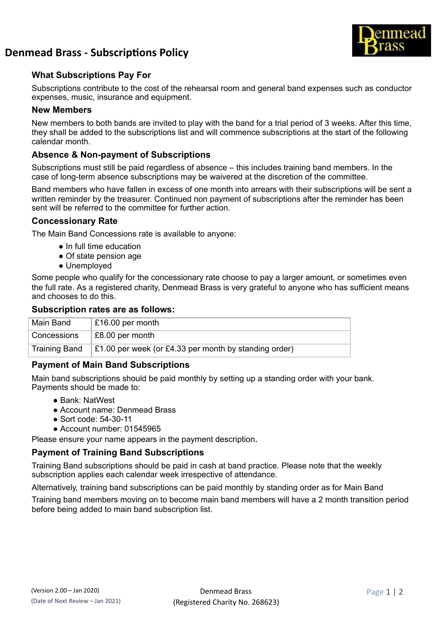

# **Denmead Brass - Subscriptions Policy**

## **What Subscriptions Pay For**

Subscriptions contribute to the cost of the rehearsal room and general band expenses such as conductor expenses, music, insurance and equipment.

#### **New Members**

New members to both bands are invited to play with the band for a trial period of 3 weeks. After this time, they shall be added to the subscriptions list and will commence subscriptions at the start of the following calendar month.

### **Absence & Non-payment of Subscriptions**

Subscriptions must still be paid regardless of absence – this includes training band members. In the case of long-term absence subscriptions may be waivered at the discretion of the committee.

Band members who have fallen in excess of one month into arrears with their subscriptions will be sent a written reminder by the treasurer. Continued non payment of subscriptions after the reminder has been sent will be referred to the committee for further action.

#### **Concessionary Rate**

The Main Band Concessions rate is available to anyone:

- In full time education
- Of state pension age
- Unemployed

Some people who qualify for the concessionary rate choose to pay a larger amount, or sometimes even the full rate. As a registered charity, Denmead Brass is very grateful to anyone who has sufficient means and chooses to do this.

#### **Subscription rates are as follows:**

| Main Band            | £16.00 per month                                              |
|----------------------|---------------------------------------------------------------|
| Concessions          | £8.00 per month                                               |
| <b>Training Band</b> | $\vert$ £1.00 per week (or £4.33 per month by standing order) |

## **Payment of Main Band Subscriptions**

Main band subscriptions should be paid monthly by setting up a standing order with your bank. Payments should be made to:

- Bank: NatWest
- Account name: Denmead Brass
- Sort code: 54-30-11
- Account number: 01545965

Please ensure your name appears in the payment description.

## **Payment of Training Band Subscriptions**

Training Band subscriptions should be paid in cash at band practice. Please note that the weekly subscription applies each calendar week irrespective of attendance.

Alternatively, training band subscriptions can be paid monthly by standing order as for Main Band

Training band members moving on to become main band members will have a 2 month transition period before being added to main band subscription list.